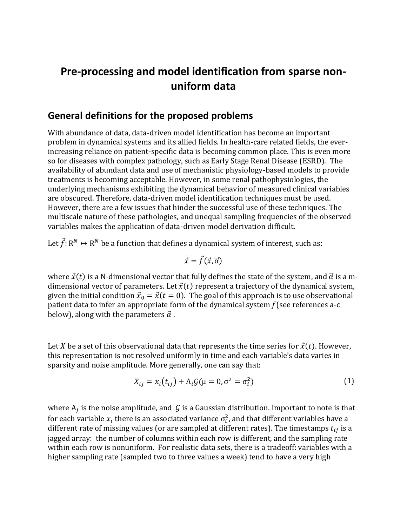# **Pre-processing and model identification from sparse nonuniform data**

#### **General definitions for the proposed problems**

With abundance of data, data-driven model identification has become an important problem in dynamical systems and its allied fields. In health-care related fields, the everincreasing reliance on patient-specific data is becoming common place. This is even more so for diseases with complex pathology, such as Early Stage Renal Disease (ESRD). The availability of abundant data and use of mechanistic physiology-based models to provide treatments is becoming acceptable. However, in some renal pathophysiologies, the underlying mechanisms exhibiting the dynamical behavior of measured clinical variables are obscured. Therefore, data-driven model identification techniques must be used. However, there are a few issues that hinder the successful use of these techniques. The multiscale nature of these pathologies, and unequal sampling frequencies of the observed variables makes the application of data-driven model derivation difficult.

Let  $\vec{f}:\mathbb{R}^N\mapsto\mathbb{R}^N$  be a function that defines a dynamical system of interest, such as:

$$
\dot{\vec{x}} = \vec{f}(\vec{x}, \vec{\alpha})
$$

where  $\vec{x}(t)$  is a N-dimensional vector that fully defines the state of the system, and  $\vec{\alpha}$  is a mdimensional vector of parameters. Let  $\vec{x}(t)$  represent a trajectory of the dynamical system, given the initial condition  $\vec{x}_0 = \vec{x}(t = 0)$ . The goal of this approach is to use observational patient data to infer an appropriate form of the dynamical system *f* (see references a-c below), along with the parameters  $\vec{\alpha}$ .

Let X be a set of this observational data that represents the time series for  $\vec{x}(t)$ . However, this representation is not resolved uniformly in time and each variable's data varies in sparsity and noise amplitude. More generally, one can say that:

$$
X_{ij} = x_i(t_{ij}) + A_i G(\mu = 0, \sigma^2 = \sigma_i^2)
$$
 (1)

where  $A_j$  is the noise amplitude, and  $\, {\cal G}$  is a Gaussian distribution. Important to note is that for each variable  $x_i$  there is an associated variance  $\sigma_i^2$ , and that different variables have a different rate of missing values (or are sampled at different rates). The timestamps  $t_{ij}$  is a jagged array: the number of columns within each row is different, and the sampling rate within each row is nonuniform. For realistic data sets, there is a tradeoff: variables with a higher sampling rate (sampled two to three values a week) tend to have a very high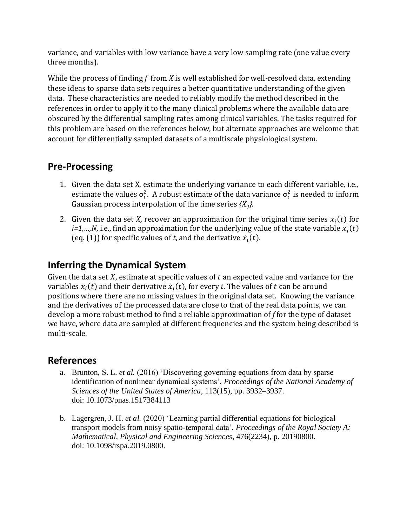variance, and variables with low variance have a very low sampling rate (one value every three months).

While the process of finding *f* from *X* is well established for well-resolved data, extending these ideas to sparse data sets requires a better quantitative understanding of the given data. These characteristics are needed to reliably modify the method described in the references in order to apply it to the many clinical problems where the available data are obscured by the differential sampling rates among clinical variables. The tasks required for this problem are based on the references below, but alternate approaches are welcome that account for differentially sampled datasets of a multiscale physiological system.

### **Pre-Processing**

- 1. Given the data set X, estimate the underlying variance to each different variable, i.e., estimate the values  $\sigma_i^2$ . A robust estimate of the data variance  $\sigma_i^2$  is needed to inform Gaussian process interpolation of the time series *{Xij}*.
- 2. Given the data set *X*, recover an approximation for the original time series  $x_i(t)$  for *i=1,...,N*, i.e., find an approximation for the underlying value of the state variable  $x_i(t)$ (eq. (1)) for specific values of *t*, and the derivative  $\dot{x}_i(t)$ .

## **Inferring the Dynamical System**

Given the data set  $X$ , estimate at specific values of  $t$  an expected value and variance for the variables  $x_i(t)$  and their derivative  $\dot{x}_i(t)$ , for every  $i.$  The values of  $t$  can be around positions where there are no missing values in the original data set. Knowing the variance and the derivatives of the processed data are close to that of the real data points, we can develop a more robust method to find a reliable approximation of *f* for the type of dataset we have, where data are sampled at different frequencies and the system being described is multi-scale.

### **References**

- a. Brunton, S. L. *et al.* (2016) 'Discovering governing equations from data by sparse identification of nonlinear dynamical systems', *Proceedings of the National Academy of Sciences of the United States of America*, 113(15), pp. 3932–3937. doi: 10.1073/pnas.1517384113
- b. Lagergren, J. H. *et al.* (2020) 'Learning partial differential equations for biological transport models from noisy spatio-temporal data', *Proceedings of the Royal Society A: Mathematical, Physical and Engineering Sciences*, 476(2234), p. 20190800. doi: 10.1098/rspa.2019.0800.